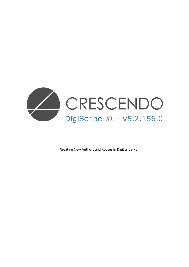

Creating New Authors and Routes in DigiScribe-XL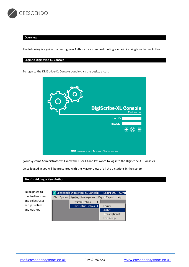

#### **Overview**

The following is a guide to creating new Authors for a standard routing scenario i.e. single route per Author.

### **Login to DigiScribe-XL Console**

To login to the DigiScribe-XL Console double click the desktop icon.



(Your Systems Administrator will know the User ID and Password to log into the DigiScribe-XL Console)

Once logged in you will be presented with the Master View of all the dictations in the system.

### **Step 1 - Adding a New Author**

To begin go to the Profiles menu and select User Setup Profiles and Author.

|      | <mark>C.º</mark> Crescendo DigiScribe-XL Console --- Login: 999 - ADMI |                       |                                                |          |                  |  |  |  |  |  |  |  |
|------|------------------------------------------------------------------------|-----------------------|------------------------------------------------|----------|------------------|--|--|--|--|--|--|--|
| File | System                                                                 |                       | Management Export/Import<br>Help<br>Profiles L |          |                  |  |  |  |  |  |  |  |
|      |                                                                        | System Profiles       |                                                |          |                  |  |  |  |  |  |  |  |
|      |                                                                        | User Setup Profiles > |                                                | Facility |                  |  |  |  |  |  |  |  |
|      |                                                                        |                       |                                                |          | Author           |  |  |  |  |  |  |  |
|      |                                                                        |                       |                                                |          | Transcriptionist |  |  |  |  |  |  |  |
|      |                                                                        |                       |                                                |          | User Group       |  |  |  |  |  |  |  |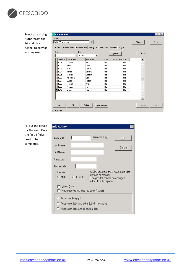

Select an existing Author from the list and click on 'Clone' to copy an existing user.

|              | <b>Author Profile</b> |           |                                                                                               |     |                      |           | $\blacksquare$   |
|--------------|-----------------------|-----------|-----------------------------------------------------------------------------------------------|-----|----------------------|-----------|------------------|
| Author ID    |                       |           |                                                                                               |     |                      |           |                  |
|              | 1010 - Owen, Ryan     |           | $\div$                                                                                        |     |                      |           | Clone            |
|              |                       |           |                                                                                               |     |                      |           | Done             |
|              |                       |           | Author   Dictation Profile   Personal Info   Facility List   Mail / Alert   Security   Dragon |     |                      |           |                  |
|              | Search                | Field     |                                                                                               |     |                      |           |                  |
|              |                       | Author ID | ▼∣                                                                                            |     | Voice                |           | AutoText         |
|              |                       |           |                                                                                               |     |                      |           |                  |
|              | Author ID             | Last Name | <b>First Name</b>                                                                             | L/O | <b>Trusted Alias</b> | <b>SP</b> | $\blacktriangle$ |
|              | 1001                  | Davies    | Bill                                                                                          | No  |                      | No        |                  |
|              | 1002                  | Smith     | John                                                                                          | No  |                      | No        |                  |
|              | 1003                  | Taylor    | David                                                                                         | No  |                      | No        |                  |
|              | 1004                  | Jones     | Sandra                                                                                        | No  |                      | No        |                  |
|              | 1005                  | Williams  | Gordon                                                                                        | No  |                      | No        |                  |
|              | 1006                  | Anderson  | Beth                                                                                          | No  |                      | No        |                  |
|              | 1007                  | Lucas     | Robert                                                                                        | No  |                      | No        |                  |
|              | 1008                  | Russell   | Andy                                                                                          | No  |                      | No        |                  |
|              | 1009                  | Morgan    | Julie                                                                                         | No  |                      | No        |                  |
|              | 1010                  | Owen      | Ryan                                                                                          | No  |                      | No        |                  |
|              |                       |           |                                                                                               |     |                      |           |                  |
|              |                       |           |                                                                                               |     |                      |           |                  |
|              |                       |           |                                                                                               |     |                      |           |                  |
|              |                       |           |                                                                                               |     |                      |           |                  |
|              | New                   | Edit      | Delete<br>Print Preview                                                                       |     |                      |           | Update<br>Cancel |
|              |                       |           |                                                                                               |     |                      |           |                  |
| 11 Author(s) |                       |           |                                                                                               |     |                      |           |                  |

 $\equiv$ 

Fill out the details for the user. Only the first 4 fields need to be completed.

| Add Author                                            |                                                                                                                      | $\mathbf{x}$ |  |  |  |  |  |  |
|-------------------------------------------------------|----------------------------------------------------------------------------------------------------------------------|--------------|--|--|--|--|--|--|
|                                                       |                                                                                                                      |              |  |  |  |  |  |  |
| Author ID                                             | (Numeric only)                                                                                                       | ŪΚ           |  |  |  |  |  |  |
| LastName :                                            |                                                                                                                      | Cancel       |  |  |  |  |  |  |
| FirstName :                                           |                                                                                                                      |              |  |  |  |  |  |  |
| Password :                                            |                                                                                                                      |              |  |  |  |  |  |  |
| Trusted alias:                                        |                                                                                                                      |              |  |  |  |  |  |  |
| Gender<br>$C$ Female<br>G Male                        | A SP subscriber must have a gender<br>defined at creation.<br>The gender cannot be changed<br>after SP subscription. |              |  |  |  |  |  |  |
| Listen Only<br>No Access to my jobs (by other Author) |                                                                                                                      |              |  |  |  |  |  |  |
| C Access only my jobs                                 |                                                                                                                      |              |  |  |  |  |  |  |
| Access my jobs and other jobs in my facility          |                                                                                                                      |              |  |  |  |  |  |  |
| Access my jobs and all system jobs                    |                                                                                                                      |              |  |  |  |  |  |  |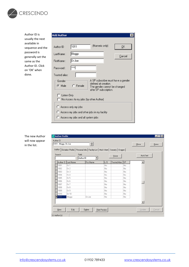

Author ID is usually the next available in sequence and the password is generally set the same as the Author ID. Click on 'OK' when done.

| <b>Add Author</b>     |                                        |                                                                                                                      |        |  |  |  |  |  |
|-----------------------|----------------------------------------|----------------------------------------------------------------------------------------------------------------------|--------|--|--|--|--|--|
| Author ID             | 1011                                   | (Numeric only)                                                                                                       | OΚ     |  |  |  |  |  |
| LastName:             | Bloggs                                 |                                                                                                                      | Cancel |  |  |  |  |  |
| FirstName :           | Dr Joe                                 |                                                                                                                      |        |  |  |  |  |  |
| Password :            | ×××∗                                   |                                                                                                                      |        |  |  |  |  |  |
| Trusted alias:        |                                        |                                                                                                                      |        |  |  |  |  |  |
| Gender<br>G Male      | $C$ Female                             | A SP subscriber must have a gender<br>defined at creation.<br>The gender cannot be changed<br>after SP subscription. |        |  |  |  |  |  |
| Listen Only           | No Access to my jobs (by other Author) |                                                                                                                      |        |  |  |  |  |  |
| C Access only my jobs |                                        |                                                                                                                      |        |  |  |  |  |  |
|                       |                                        | C Access my jobs and other jobs in my facility                                                                       |        |  |  |  |  |  |
|                       | Access my jobs and all system jobs     |                                                                                                                      |        |  |  |  |  |  |

The new Author will now appear in the list.

| Search    |                 | Field<br>Author ID | ▼          |     | Voice                |    | AutoText         |
|-----------|-----------------|--------------------|------------|-----|----------------------|----|------------------|
| Author ID | Last Name       |                    | First Name | L/O | <b>Trusted Alias</b> | SP | $\blacktriangle$ |
| 1001      | Dr 1            |                    |            | No  |                      | No |                  |
| 1002      | Dr 2            |                    |            | No  |                      | No |                  |
| 1003      | Dr <sub>3</sub> |                    |            | No  |                      | No |                  |
| 1004      | Dr 4            |                    |            | No  |                      | No |                  |
| 1005      | Dr 5            |                    |            | No  |                      | No |                  |
| 1006      | Dr 6            |                    |            | No  |                      | No |                  |
| 1007      | Dr 7            |                    |            | No  |                      | No |                  |
| 1008      | Dr 8            |                    |            | No  |                      | No |                  |
| 1009      | Dr 9            |                    |            | No  |                      | No |                  |
| 1010      | Dr10            |                    |            | No  |                      | No |                  |
| 1011      | Bloggs          |                    | Dr Joe     | No  |                      | No |                  |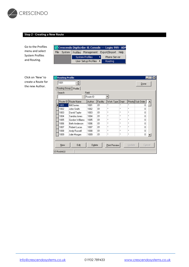

# **Step 2 - Creating a New Route**

Go to the Profiles menu and select System Profiles and Routing.

| Crescendo DigiScribe-XL Console --- Login: 999 - ADN |             |                                        |                       |  |              |  |  |  |  |  |  |
|------------------------------------------------------|-------------|----------------------------------------|-----------------------|--|--------------|--|--|--|--|--|--|
|                                                      | File System | Profiles Management Export/Import Help |                       |  |              |  |  |  |  |  |  |
|                                                      |             | System Profiles                        |                       |  | Phone Server |  |  |  |  |  |  |
|                                                      |             |                                        | User Setup Profiles ▶ |  | Routina      |  |  |  |  |  |  |

Click on 'New' to create a Route for the new Author.

| łе | <b>Routing Profile</b><br>⊠<br>$\blacksquare$ loj |                    |        |          |               |      |        |                    |  |  |  |
|----|---------------------------------------------------|--------------------|--------|----------|---------------|------|--------|--------------------|--|--|--|
|    | 1001                                              |                    |        |          |               |      |        | Done               |  |  |  |
|    | Routing Group<br>Profile                          |                    |        |          |               |      |        |                    |  |  |  |
|    | Field<br>Search                                   |                    |        |          |               |      |        |                    |  |  |  |
|    | Route ID                                          |                    |        |          |               |      |        |                    |  |  |  |
|    | Route ID                                          | Route Name         | Author | Facility | Work Type     | Dept |        | Priority Sub Order |  |  |  |
|    | <b>1001</b>                                       | <b>Bill Davies</b> | 1001   | 01       | ×             | ×    | ×      | 0                  |  |  |  |
|    | 1002                                              | John Smith         | 1002   | 01       | ×             | ×    | ×      | 0                  |  |  |  |
|    | 1003                                              | David Taylor       | 1003   | 01       | ×             | ×    | ×      | 0                  |  |  |  |
|    | 1004                                              | Sandra Jones       | 1004   | 01       | ×             | ×    | ×      | 0                  |  |  |  |
|    | 1005                                              | Gordon Williams    | 1005   | 01       | ×             | ×    | ×      | 0                  |  |  |  |
|    | 1006                                              | Beth Anderson      | 1006   | 01       | ×             | ×    | ×      | 0                  |  |  |  |
|    | 1007                                              | Robert Lucas       | 1007   | 01       | ×             | ×    | ×      | 0                  |  |  |  |
|    | 1008                                              | Andy Russell       | 1008   | 01       | ×             | ×    | ×      | $\overline{0}$     |  |  |  |
|    | 1009                                              | Julie Morgan       | 1009   | 01       | ×             | ×    | ×      | $\overline{0}$     |  |  |  |
|    |                                                   |                    |        |          |               |      |        |                    |  |  |  |
|    | New                                               | Edit               | Delete |          | Print Preview |      | Update | Cancel             |  |  |  |
|    | 13 Route(s)                                       |                    |        |          |               |      |        |                    |  |  |  |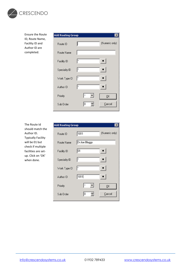

Ensure the Route ID, Route Name, Facility ID and Author ID are completed.

| <b>Add Routing Group</b> | l×             |
|--------------------------|----------------|
|                          | (Numeric only) |
|                          |                |
| l×                       |                |
| I×                       |                |
| ľ۴                       |                |
| I×                       |                |
| ŀ۰                       | <u>Ο</u> Κ     |
| Jо<br>싂                  | Cancel         |
|                          |                |

The Route Id should match the Author ID. Typically Facility will be 01 but check if multiple facilities are setup. Click on 'OK' when done.

| Add Routing Group |               |                |
|-------------------|---------------|----------------|
| Route ID          | 1011          | (Numeric only) |
| Route Name        | Dr Joe Bloggs |                |
| Facility ID       | 01            | .              |
| Speciality ID     | I×            |                |
| Work Type ID      | l×            |                |
| Author ID         | $\sqrt{1011}$ |                |
| Priority          | I×            | <u>Ο</u> Κ     |
| Sub Order         | Iо            | Cancel         |
|                   |               |                |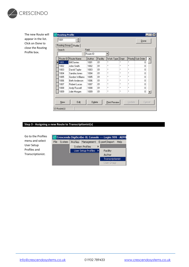

The new Route will appear in the list. Click on Done to close the Routing Profile box.

| <b>Routing Profile</b><br>×<br>$-1\Box$                           |                          |          |          |           |              |                           |                    |  |  |  |
|-------------------------------------------------------------------|--------------------------|----------|----------|-----------|--------------|---------------------------|--------------------|--|--|--|
| $\div$<br>1001<br>Done                                            |                          |          |          |           |              |                           |                    |  |  |  |
|                                                                   | Routing Group<br>Profile |          |          |           |              |                           |                    |  |  |  |
| Field<br>Search                                                   |                          |          |          |           |              |                           |                    |  |  |  |
|                                                                   |                          | Route ID |          |           |              |                           |                    |  |  |  |
| Route ID                                                          | Route Name               | Author   | Facility | Work Type | Dept         |                           | Priority Sub Order |  |  |  |
| 1001                                                              | <b>Bill Davies</b>       | 1001     | 01       | ×         | ×            | ×                         | 0                  |  |  |  |
| 1002                                                              | John Smith               | 1002     | 01       | ×         | ×            | ×                         | 0                  |  |  |  |
| 1003                                                              | David Taylor             | 1003     | 01       | ×         | ×            | $\boldsymbol{\mathsf{x}}$ | 0                  |  |  |  |
| 1004                                                              | Sandra Jones             | 1004     | 01       | ×         | ×            | ×                         | 0                  |  |  |  |
| 1005                                                              | Gordon Williams          | 1005     | 01       | ×         | ×            | ×                         | 0                  |  |  |  |
| 1006                                                              | Beth Anderson            | 1006     | 01       | ×         | $\mathbf{x}$ | ×                         | 0                  |  |  |  |
| 1007                                                              | Robert Lucas             | 1007     | 01       | ×         | ×            | ×                         | 0                  |  |  |  |
| 1008                                                              | Andy Russell             | 1008     | 01       | ×         | ×            | ×                         | 0                  |  |  |  |
| 1009                                                              | Julie Morgan             | 1009     | 01       | ×         | $\mathbf{x}$ | ×                         | 0                  |  |  |  |
| Edit<br>New<br>Delete<br>Update<br>Cancel<br><b>Print Preview</b> |                          |          |          |           |              |                           |                    |  |  |  |
| $13$ Route $(s)$                                                  |                          |          |          |           |              |                           |                    |  |  |  |

# **Step 3 - Assigning a new Route to Transcriptionist(s)**

| Go to the Profiles |      |        |                 |                     | Crescendo DigiScribe-XL Console --- Login: 999 - ADMI |
|--------------------|------|--------|-----------------|---------------------|-------------------------------------------------------|
| menu and select    | File | System | <b>Profiles</b> | Management          | Export/Import<br>Help                                 |
| User Setup         |      |        |                 | System Profiles     |                                                       |
| Profiles and       |      |        |                 | User Setup Profiles | Facility                                              |
| Transcriptionist.  |      |        |                 |                     | Author                                                |
|                    |      |        |                 |                     | Transcriptionist                                      |
|                    |      |        |                 |                     | User Group                                            |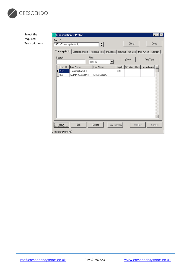

| Select the        |                            | <b>Transcriptionist Profile</b>                                                                                |                                 |                                   | $\blacksquare$ $\blacksquare$ $\times$ |
|-------------------|----------------------------|----------------------------------------------------------------------------------------------------------------|---------------------------------|-----------------------------------|----------------------------------------|
| required          | Tran ID                    |                                                                                                                |                                 |                                   |                                        |
| Transcriptionist. | 2001 - Transcriptionist 1, |                                                                                                                |                                 | $Q$ lone                          | Done                                   |
|                   |                            | Transcriptionist Dictation Profile   Personal Info   Privileges   Routing   Off Site   Mail / Alert   Security |                                 |                                   |                                        |
|                   | Search                     | Field                                                                                                          |                                 | Voice                             | <b>AutoText</b>                        |
|                   |                            |                                                                                                                | Tran ID<br>$\blacktriangledown$ |                                   |                                        |
|                   | Tran ID                    | Last Name                                                                                                      | First Name                      | Sup ID Windows User Trusted Alias |                                        |
|                   | 2001<br>٠                  | Transcriptionist 1                                                                                             |                                 | 999                               |                                        |
|                   | 999                        | ADMIN ACCOUNT                                                                                                  | CRESCENDO                       |                                   |                                        |
|                   |                            |                                                                                                                |                                 |                                   |                                        |
|                   |                            |                                                                                                                |                                 |                                   |                                        |
|                   |                            |                                                                                                                |                                 |                                   |                                        |
|                   |                            |                                                                                                                |                                 |                                   |                                        |
|                   |                            |                                                                                                                |                                 |                                   |                                        |
|                   |                            |                                                                                                                |                                 |                                   |                                        |
|                   |                            |                                                                                                                |                                 |                                   |                                        |
|                   |                            |                                                                                                                |                                 |                                   |                                        |
|                   |                            |                                                                                                                |                                 |                                   |                                        |
|                   |                            |                                                                                                                |                                 |                                   | $\overline{\phantom{a}}$               |
|                   |                            |                                                                                                                |                                 |                                   |                                        |
|                   | New                        | Edit                                                                                                           | Delete<br>Print Preview         | Update                            | Cancel                                 |
|                   | 2 Transcriptionist(s)      |                                                                                                                |                                 |                                   |                                        |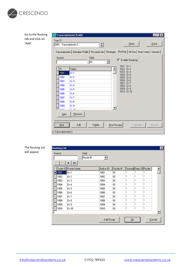

Go to the Routing tab and click on 'Add'.

| Tran ID<br>2001 Transcriptionist 1, | <b>Transcriptionist Profile</b>                     |              |  | ا تا ا - ا<br>Done<br>Clone<br>Transcriptionist   Dictation Profile   Personal Info   Privileges   Routing   Off Site   Mail / Alert   Security | Ιx |  |
|-------------------------------------|-----------------------------------------------------|--------------|--|-------------------------------------------------------------------------------------------------------------------------------------------------|----|--|
| Search<br>ID                        | Name                                                | Field<br>ID. |  | <b>区</b> Enable Grouping<br>1001 - Dr 1<br>$1002 - Dr2$                                                                                         |    |  |
| 1001                                | Dr 1                                                |              |  | 1003 - Dr 3                                                                                                                                     |    |  |
| 1002                                | Dr 2                                                |              |  | $1004 - Dr4$<br>$1005 - Dr5$                                                                                                                    |    |  |
| 1003                                | Dr3                                                 |              |  | $1006 - Dr 6$                                                                                                                                   |    |  |
| 1004                                | Dr 4                                                |              |  | 1007 - Dr 7<br>$1008 - Dr 8$                                                                                                                    |    |  |
| 1005                                | Dr 5                                                |              |  | $1009 - Dr 9$                                                                                                                                   |    |  |
| 1006                                | Dr 6                                                |              |  | $1010 - Dr 10$                                                                                                                                  |    |  |
| 1007                                | Dr 7                                                |              |  |                                                                                                                                                 |    |  |
| 1008                                | Dr 8                                                |              |  |                                                                                                                                                 |    |  |
| 1009                                | Dr 9                                                |              |  |                                                                                                                                                 |    |  |
| <b>LOSO</b>                         | $n \rightarrow n$                                   |              |  |                                                                                                                                                 |    |  |
| Add                                 | Remove                                              |              |  |                                                                                                                                                 |    |  |
| $New$                               | Edit<br>Delete<br>Update<br>Cancel<br>Print Preview |              |  |                                                                                                                                                 |    |  |
| $2$ Transcriptionist $(s)$          |                                                     |              |  |                                                                                                                                                 |    |  |

| The Routing List |
|------------------|
| will appear.     |

| Search | Field<br>Route ID   | ▾▏        |             |                          |                       |             |  |
|--------|---------------------|-----------|-------------|--------------------------|-----------------------|-------------|--|
| М<br>⊲ | ►   ►⊢              |           |             |                          |                       |             |  |
|        | Route ID Route Name | Author ID | Facility ID | Special Rept ID Priority |                       |             |  |
| 1001   | Dr 1                | 1001      | 01          | ×                        | ×                     | ×           |  |
| 1002   | Dr 2                | 1002      | 01          | ×                        | $\pmb{\times}$        | $\rm _{2L}$ |  |
| 1003   | Dr 3                | 1003      | 01          | ×                        | ×                     | $\rm x$     |  |
| 1004   | Dr 4                | 1004      | 01          | ×                        | $\boldsymbol{\times}$ | $\rm x$     |  |
| 1005   | Dr 5                | 1005      | 01          | ×                        | ×                     | ×           |  |
| 1006   | Dr 6                | 1006      | 01          | $\rm x$                  | $\pmb{\times}$        | ×           |  |
| 1007   | Dr 7                | 1007      | 01          | ×                        | ×                     | ×           |  |
| 1008   | Dr 8                | 1008      | 01          | ×                        | ×                     | ×           |  |
| 1009   | Dr 9                | 1009      | 01          | ×                        | $\pmb{\times}$        | ×           |  |
| 1010   | Dr 10               | 1010      | 01          | ×                        | ×                     | $\rm x$     |  |
|        |                     |           |             |                          |                       |             |  |
|        |                     | Add Group |             | ₫k                       |                       | Cancel      |  |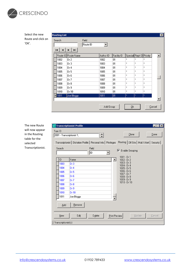

Select the new Route and click on 'OK'.

|                            | <b>Routing List</b> |                     |                   |           |             |                          |                       |                | 図                |
|----------------------------|---------------------|---------------------|-------------------|-----------|-------------|--------------------------|-----------------------|----------------|------------------|
| Search                     |                     |                     | Field<br>Route ID | ▾╎        |             |                          |                       |                |                  |
| н                          |                     | H.<br>►             |                   |           |             |                          |                       |                |                  |
|                            |                     | Route ID Route Name |                   | Author ID | Facility ID | Special Rept ID Priority |                       |                | $\blacktriangle$ |
|                            | 1002                | Dr 2                |                   | 1002      | 01          | ×                        | ×                     | ×              |                  |
|                            | 1003                | Dr 3                |                   | 1003      | 01          | ×                        | ×                     | $\rm ^{\rm x}$ |                  |
|                            | 1004                | Dr 4                |                   | 1004      | 01          | ×                        | ×                     | $\rm ^{2}$     |                  |
|                            | 1005                | Dr 5                |                   | 1005      | 01          | ×                        | ×                     | $\mathbf x$    |                  |
|                            | 1006                | Dr 6                |                   | 1006      | 01          | ×                        | $\boldsymbol{\times}$ | $\mathbf{x}$   |                  |
|                            | 1007                | Dr 7                |                   | 1007      | 01          | ×                        | $\pmb{\times}$        | ×              |                  |
|                            | 1008                | Dr 8                |                   | 1008      | 01          | ×                        | ×                     | $\rm _{2C}$    |                  |
|                            | 1009                | Dr 9                |                   | 1009      | 01          | ×                        | ×                     | $\rm _{2C}$    |                  |
|                            | 1010                | Dr 10               |                   | 1010      | 01          | $\mathbf{x}$             | ×                     | $\rm x$        |                  |
| $\blacktriangleright$ 1011 |                     | Joe Bloggs          |                   | 1011      | O1          | ×                        | $\mathbf x$           | ×              |                  |
|                            |                     |                     |                   |           |             |                          |                       |                |                  |
|                            |                     |                     |                   | Add Group |             | <u>O</u> k               |                       | Cancel         |                  |

The new Route will now appear in the Routing table for the selected Transcriptionist.

|                                     | <b>Transcriptionist Profile</b> |                   |               |                                                                                                                  | $\blacksquare$ $\blacksquare$ $\times$ |
|-------------------------------------|---------------------------------|-------------------|---------------|------------------------------------------------------------------------------------------------------------------|----------------------------------------|
| Tran ID<br>2001 Transcriptionist 1, |                                 |                   |               | Clone                                                                                                            | Done                                   |
|                                     |                                 |                   |               | Transcriptionist   Dictation Profile   Personal Info   Privileges   Routing   Off Site   Mail / Alert   Security |                                        |
| Search                              |                                 | Field<br> ID<br>▼ |               | $\nabla$ Enable Grouping                                                                                         |                                        |
| ID                                  | Name                            |                   |               | $1001 - Dr1$<br>$1002 - Dr2$                                                                                     |                                        |
| 1003                                | Dr3                             |                   |               | $1003 - Dr3$                                                                                                     |                                        |
| 1004                                | Dr 4                            |                   |               | 1004 - Dr 4<br>$1005 - Dr 5$                                                                                     |                                        |
| 1005                                | Dr 5                            |                   |               | $1006 - Dr 6$                                                                                                    |                                        |
| 1006                                | Dr 6                            |                   |               | $1007 - Dr7$<br>$1008 - Dr 8$                                                                                    |                                        |
| 1007                                | Dr 7                            |                   |               | $1009 - Dr9$                                                                                                     |                                        |
| 1008                                | Dr 8                            |                   |               | $1010 - Dr 10$                                                                                                   |                                        |
| 1009                                | Dr9                             |                   |               |                                                                                                                  |                                        |
| 1010                                | Dr10                            |                   |               |                                                                                                                  |                                        |
| 1011                                | Joe Bloggs                      |                   |               |                                                                                                                  |                                        |
| Add<br>New                          | Remove<br>Edit                  | Delete            | Print Preview | <b>Update</b>                                                                                                    | Cancel                                 |
| 2 Transcriptionist(s)               |                                 |                   |               |                                                                                                                  |                                        |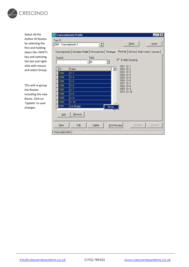

Select all the Author ID Routes by selecting the first and holding down the <SHIFT> key and selecting the last and rightclick with mouse and select Group.

This will re-group the Routes including the new Route. Click on 'Update' to save changes.

| Tran ID                    | <b>Transcriptionist Profile</b><br>Ιx<br>Done<br>Clone<br>2001 - Transcriptionist 1,                                                                                      |
|----------------------------|---------------------------------------------------------------------------------------------------------------------------------------------------------------------------|
| Search                     | Transcriptionist   Dictation Profile   Personal Info   Privileges   Routing   Off Site   Mail / Alert   Security  <br>Field<br>Enable Grouping<br>⊽<br>ID<br>$1001 - Dr1$ |
| ID                         | Name<br>$1002 - Dr2$                                                                                                                                                      |
| 1003                       | $1003 - Dr3$<br>Dr 3                                                                                                                                                      |
| 1004                       | $1004 - Dr4$<br>Dr 4<br>$1005 - Dr5$                                                                                                                                      |
| 1005                       | $1006 - Dr 6$<br>Dr 5                                                                                                                                                     |
| 1006                       | $1007 - Dr7$<br>Dr 6<br>$1008 - Dr 8$                                                                                                                                     |
| 1007                       | $1009 - Dr 9$<br>Dr 7                                                                                                                                                     |
| 1008                       | $1010 - Dr 10$<br>Dr 8                                                                                                                                                    |
| 1009                       | Dr 9.                                                                                                                                                                     |
| 1010                       | Dr10                                                                                                                                                                      |
| 1011                       | Joe Bloggs<br>Group                                                                                                                                                       |
| Add                        | Remove                                                                                                                                                                    |
| New                        | Edit<br>Delete<br>Update<br>Cancel<br><b>Print Preview</b>                                                                                                                |
| $2$ Transcriptionist $(s)$ |                                                                                                                                                                           |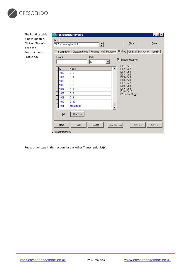

The Routing table is now updated. Click on 'Done' to close the Transcriptionist Profile box.

| Search | Transcriptionist   Dictation Profile   Personal Info   Privileges   Routing   Off Site   Mail / Alert   Security  <br>Field<br>ID. | Enable Grouping<br>⊽.               |  |
|--------|------------------------------------------------------------------------------------------------------------------------------------|-------------------------------------|--|
| ID     | Name                                                                                                                               | $1001 - D_1 1$<br>$1002 - Dr2$      |  |
| 1003   | Dr3                                                                                                                                | $1003 - Dr3$                        |  |
| 1004   | Dr 4                                                                                                                               | $1004 - Dr4$<br>$1005 - Dr5$        |  |
| 1005   | Dr 5                                                                                                                               | $1006 - Dr 6$                       |  |
| 1006   | Dr 6                                                                                                                               | $1007 - Dr7$<br>$1008 - Dr 8$       |  |
| 1007   | Dr7                                                                                                                                | $1009 - Dr 9$                       |  |
| 1008   | Dr 8                                                                                                                               | $1010 - Dr 10$<br>1011 - Joe Bloggs |  |
| 1009   | Dr 9                                                                                                                               |                                     |  |
| 1010   | Dr10                                                                                                                               |                                     |  |
| 1011   | Joe Bloggs                                                                                                                         |                                     |  |
| Add    | Remove                                                                                                                             |                                     |  |

Repeat the steps in this section for any other Transcriptionist(s).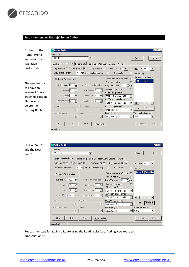

### **Step 4 - Amending Route(s) for an Author**

| Go back to the     | <b>Author Profile</b><br>l-I⊡I×                                                                                      |
|--------------------|----------------------------------------------------------------------------------------------------------------------|
| Author Profile     | Author ID                                                                                                            |
| and select the     | ÷<br>$1001 - Dr1$ ,<br>Clone<br>Done                                                                                 |
| 'Dictation         | Dictation Profile   Personal Info   Facility List   Mail / Alert   Security   Dragon  <br>Author                     |
| Profile' tab.      | Route ID: 1001<br>DigiService-IP  V  ●  <br>DigiDictate-PC<br>DigiDictate-IP <b>I</b><br>DigiDictate-CE<br>$\bullet$ |
|                    | DigiDictate-IP refresh:<br>min. Send scheduling:<br>Use Centro<br>п<br>Job Routing                                   |
|                    | Route ID Route Nam<br>Enable Interactive SP mode<br>г<br>Inherit Previous Level<br>⊽                                 |
| The new Author     | 1001<br>Dr1<br>Purge immediately                                                                                     |
|                    | Time difference 0:00<br>÷l<br>Allow instant dictation<br>days<br>Purge Voice after   0                               |
| will have an       | г<br>Silence compression<br>싂<br>싚<br>Idle Timeout <sup>10</sup><br>Volume <sup>0</sup>                              |
| incorrect Route    | Voice Storage Format                                                                                                 |
| assigned, click on | 싂<br>Session Max. 0<br>Speed <sup>1</sup><br>$\blacktriangledown$<br>PCM 11 KHz Mono 16 Bit                          |
| 'Remove' to        | Alt. Voice Storage Format<br>Suspend Queue <sup>0</sup><br>슼<br>싚<br>Dictation Max. 0                                |
|                    | PCM 16 KHz Mono 16 Bit<br>$\overline{\phantom{a}}$<br>$\rightarrow$                                                  |
| delete the         | Play Header<br>Keypad<br>Prompt Sequence (PC)<br>Add<br>Remove                                                       |
| existing Route.    | $\overline{\mathbf{v}}$<br>Integration [1]                                                                           |
|                    | VoiceBar Configuration<br>Prompt Sequence<br>Locate (PC)<br>Locate                                                   |
|                    | Author<br>Integration [1]<br>$\overline{\phantom{a}}$                                                                |
|                    |                                                                                                                      |
|                    | Edit<br>Delete<br>Cancel<br>New<br><b>Print Preview</b><br>Update                                                    |
|                    | 11 Author(s)                                                                                                         |

| Click on 'Add' to<br>add the New<br>Route. | <b>Author Profile</b><br>$\Box$ o $\Box$<br>Author ID<br>÷<br>$1001 - Dr 1,$<br>Clone<br>Done                            |
|--------------------------------------------|--------------------------------------------------------------------------------------------------------------------------|
|                                            | Dictation Profile   Personal Info   Facility List   Mail / Alert   Security   Dragon  <br>Author                         |
|                                            | Route ID: 1001   •<br>DigiDictate-IP <b>I</b><br>DigiService-IP   ●  <br>DigiDictate-PC<br>DigiDictate-CE                |
|                                            | Io.<br>min. Send scheduling:<br>DigiDictate-IP refresh:<br>п<br>Use Centro<br>П<br>Job Routing                           |
|                                            | Route ID Route Nam<br>Enable Interactive SP mode<br><b>V</b> Inherit Previous Level                                      |
|                                            | Purge immediately<br>г                                                                                                   |
|                                            | Time difference 0:00<br>$\Rightarrow$<br>Allow instant dictation<br>쉽 days<br>Purge Voice after 0                        |
|                                            | г<br>Silence compression<br>싚<br>Volume <sup>0</sup><br>싂<br>Idle Timeout 0                                              |
|                                            | Voice Storage Format<br>싚<br>싂<br>Session Max. 0<br>Speed <sup>0</sup><br>$\blacktriangledown$<br>PCM 11 KHz Mono 16 Bit |
|                                            | Alt. Voice Storage Format                                                                                                |
|                                            | 싚<br>Suspend Queue <sup>0</sup><br>슬<br>Dictation Max. 0<br>PCM 16 KHz Mono 16 Bit<br>▼<br>$\blacktriangleright$         |
|                                            | Play Header<br>Keypad<br>Prompt Sequence (PC)                                                                            |
|                                            | Add<br>$B$ emove<br>$\overline{\phantom{a}}$<br><b>IV</b><br>Integration [1]                                             |
|                                            | Locate (PC)<br>VoiceBar Configuration<br>Prompt Sequence<br>Locate                                                       |
|                                            | E<br>Integration (1)<br>Author                                                                                           |
|                                            |                                                                                                                          |
|                                            | Edit<br>New<br>Delete<br>Cancel<br>Print Preview<br>Update                                                               |
|                                            | 11 Author(s)                                                                                                             |

Repeat the steps for adding a Route using the Routing List (see: Adding New route to Transcriptionist).